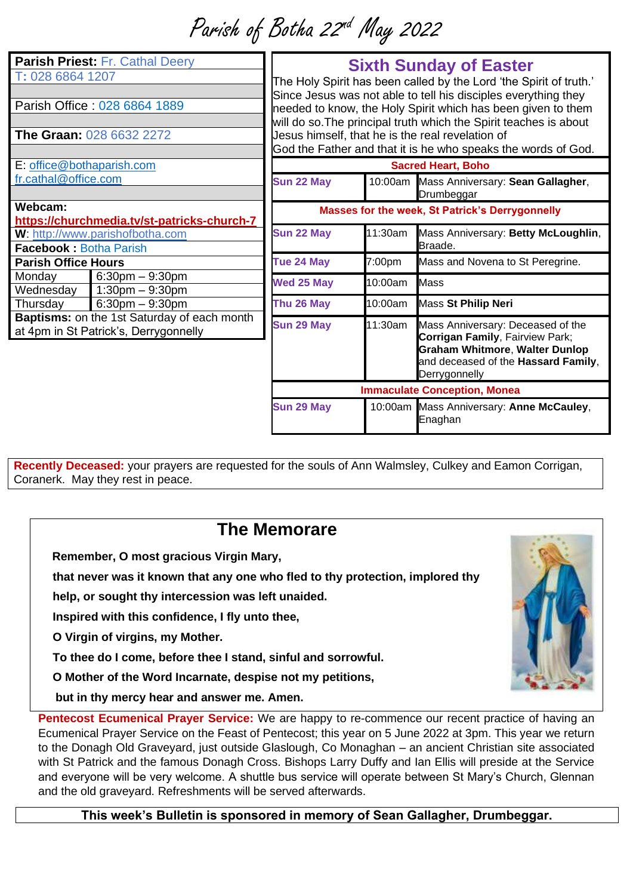Parish of Botha 22<sup>nd</sup> May 2022

| Parish Priest: Fr. Cathal Deery<br>T: 028 6864 1207<br>Parish Office: 028 6864 1889<br><b>The Graan: 028 6632 2272</b> |                      | <b>Sixth Sunday of Easter</b><br>The Holy Spirit has been called by the Lord 'the Spirit of truth.'<br>Since Jesus was not able to tell his disciples everything they<br>needed to know, the Holy Spirit which has been given to them<br>will do so. The principal truth which the Spirit teaches is about<br>Jesus himself, that he is the real revelation of<br>God the Father and that it is he who speaks the words of God. |         |                                                                                                                                                                       |
|------------------------------------------------------------------------------------------------------------------------|----------------------|---------------------------------------------------------------------------------------------------------------------------------------------------------------------------------------------------------------------------------------------------------------------------------------------------------------------------------------------------------------------------------------------------------------------------------|---------|-----------------------------------------------------------------------------------------------------------------------------------------------------------------------|
| E: office@bothaparish.com                                                                                              |                      | <b>Sacred Heart, Boho</b>                                                                                                                                                                                                                                                                                                                                                                                                       |         |                                                                                                                                                                       |
| fr.cathal@office.com                                                                                                   |                      | Sun 22 May                                                                                                                                                                                                                                                                                                                                                                                                                      | 10:00am | Mass Anniversary: Sean Gallagher,<br>Drumbeggar                                                                                                                       |
| Webcam:<br>https://churchmedia.tv/st-patricks-church-7                                                                 |                      | Masses for the week, St Patrick's Derrygonnelly                                                                                                                                                                                                                                                                                                                                                                                 |         |                                                                                                                                                                       |
| W: http://www.parishofbotha.com<br><b>Facebook: Botha Parish</b>                                                       |                      | Sun 22 May                                                                                                                                                                                                                                                                                                                                                                                                                      | 11:30am | Mass Anniversary: Betty McLoughlin,<br>Braade.                                                                                                                        |
| <b>Parish Office Hours</b>                                                                                             |                      | Tue 24 May                                                                                                                                                                                                                                                                                                                                                                                                                      | 7:00pm  | Mass and Novena to St Peregrine.                                                                                                                                      |
| Monday                                                                                                                 | $6:30$ pm $-9:30$ pm | <b>Wed 25 May</b>                                                                                                                                                                                                                                                                                                                                                                                                               | 10:00am | <b>Mass</b>                                                                                                                                                           |
| Wednesday                                                                                                              | $1:30$ pm $-9:30$ pm |                                                                                                                                                                                                                                                                                                                                                                                                                                 |         |                                                                                                                                                                       |
| Thursday                                                                                                               | $6:30$ pm $-9:30$ pm | Thu 26 May                                                                                                                                                                                                                                                                                                                                                                                                                      | 10:00am | Mass St Philip Neri                                                                                                                                                   |
| Baptisms: on the 1st Saturday of each month<br>at 4pm in St Patrick's, Derrygonnelly                                   |                      | Sun 29 May                                                                                                                                                                                                                                                                                                                                                                                                                      | 11:30am | Mass Anniversary: Deceased of the<br>Corrigan Family, Fairview Park;<br><b>Graham Whitmore, Walter Dunlop</b><br>and deceased of the Hassard Family,<br>Derrygonnelly |
|                                                                                                                        |                      | <b>Immaculate Conception, Monea</b>                                                                                                                                                                                                                                                                                                                                                                                             |         |                                                                                                                                                                       |
|                                                                                                                        |                      | Sun 29 May                                                                                                                                                                                                                                                                                                                                                                                                                      |         | 10:00am Mass Anniversary: Anne McCauley,<br>Enaghan                                                                                                                   |

**Recently Deceased:** your prayers are requested for the souls of Ann Walmsley, Culkey and Eamon Corrigan, Coranerk. May they rest in peace.

## **The Memorare**

**Remember, O most gracious Virgin Mary,** 

**that never was it known that any one who fled to thy protection, implored thy** 

**help, or sought thy intercession was left unaided.** 

**Inspired with this confidence, I fly unto thee,** 

**O Virgin of virgins, my Mother.** 

**To thee do I come, before thee I stand, sinful and sorrowful.** 

**O Mother of the Word Incarnate, despise not my petitions,** 

 **but in thy mercy hear and answer me. Amen.**

**Pentecost Ecumenical Prayer Service:** We are happy to re-commence our recent practice of having an Ecumenical Prayer Service on the Feast of Pentecost; this year on 5 June 2022 at 3pm. This year we return to the Donagh Old Graveyard, just outside Glaslough, Co Monaghan – an ancient Christian site associated with St Patrick and the famous Donagh Cross. Bishops Larry Duffy and Ian Ellis will preside at the Service and everyone will be very welcome. A shuttle bus service will operate between St Mary's Church, Glennan and the old graveyard. Refreshments will be served afterwards.

**This week's Bulletin is sponsored in memory of Sean Gallagher, Drumbeggar.**